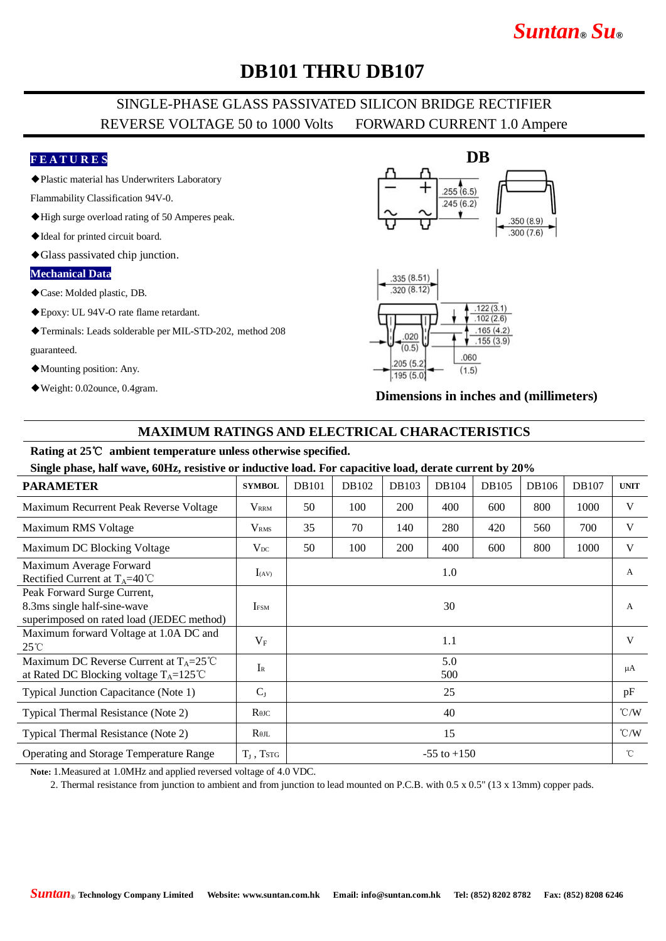# *Suntan***®** *Su***®**

# **DB101 THRU DB107**

## SINGLE-PHASE GLASS PASSIVATED SILICON BRIDGE RECTIFIER REVERSE VOLTAGE 50 to 1000 Volts FORWARD CURRENT 1.0 Ampere

### **F E A T U R E S**

◆Plastic material has Underwriters Laboratory

Flammability Classification 94V-0.

- ◆High surge overload rating of 50 Amperes peak.
- ◆Ideal for printed circuit board.
- ◆Glass passivated chip junction.

#### **Mechanical Data**

- ◆Case: Molded plastic, DB.
- ◆Epoxy: UL 94V-O rate flame retardant.
- ◆Terminals: Leads solderable per MIL-STD-202, method 208 guaranteed.
- ◆Mounting position: Any.
- ◆Weight: 0.02ounce, 0.4gram.





**Dimensions in inches and (millimeters)**

### **MAXIMUM RATINGS AND ELECTRICAL CHARACTERISTICS**

#### **Rating at 25**℃ **ambient temperature unless otherwise specified.**

**Single phase, half wave, 60Hz, resistive or inductive load. For capacitive load, derate current by 20%**

| <b>PARAMETER</b>                                                                                        | <b>SYMBOL</b>           | <b>DB101</b>    | DB102 | DB103      | DB104 | DB105 | DB106 | DB107 | <b>UNIT</b>        |
|---------------------------------------------------------------------------------------------------------|-------------------------|-----------------|-------|------------|-------|-------|-------|-------|--------------------|
| Maximum Recurrent Peak Reverse Voltage                                                                  | <b>V</b> <sub>RRM</sub> | 50              | 100   | <b>200</b> | 400   | 600   | 800   | 1000  | V                  |
| Maximum RMS Voltage                                                                                     | V <sub>RMS</sub>        | 35              | 70    | 140        | 280   | 420   | 560   | 700   | V                  |
| Maximum DC Blocking Voltage                                                                             | $V_{DC}$                | 50              | 100   | 200        | 400   | 600   | 800   | 1000  | V                  |
| Maximum Average Forward<br>Rectified Current at $T_A=40^{\circ}C$                                       | $I_{(AV)}$              | 1.0             |       |            |       |       |       |       | A                  |
| Peak Forward Surge Current,<br>8.3ms single half-sine-wave<br>superimposed on rated load (JEDEC method) | <b>I</b> <sub>FSM</sub> | 30              |       |            |       |       |       |       | $\mathsf{A}$       |
| Maximum forward Voltage at 1.0A DC and<br>$25^{\circ}$ C                                                | $V_{F}$                 | 1.1             |       |            |       |       |       |       | V                  |
| Maximum DC Reverse Current at $T_A = 25^{\circ}C$<br>at Rated DC Blocking voltage $T_A = 125^{\circ}C$  | $I_{R}$                 | 5.0<br>500      |       |            |       |       |       |       | μA                 |
| Typical Junction Capacitance (Note 1)                                                                   | $C_{J}$                 | 25              |       |            |       |       |       |       | pF                 |
| Typical Thermal Resistance (Note 2)                                                                     | $R$ $\theta$ JC         | 40              |       |            |       |       |       |       | $\rm ^{\circ}$ C/W |
| Typical Thermal Resistance (Note 2)                                                                     | $R_{\theta IL}$         | 15              |       |            |       |       |       |       | $\rm ^{\circ}$ C/W |
| <b>Operating and Storage Temperature Range</b>                                                          | $T_J$ , TstG            | $-55$ to $+150$ |       |            |       |       |       |       | $^{\circ}$ C       |

**Note:** 1.Measured at 1.0MHz and applied reversed voltage of 4.0 VDC.

2. Thermal resistance from junction to ambient and from junction to lead mounted on P.C.B. with 0.5 x 0.5" (13 x 13mm) copper pads.